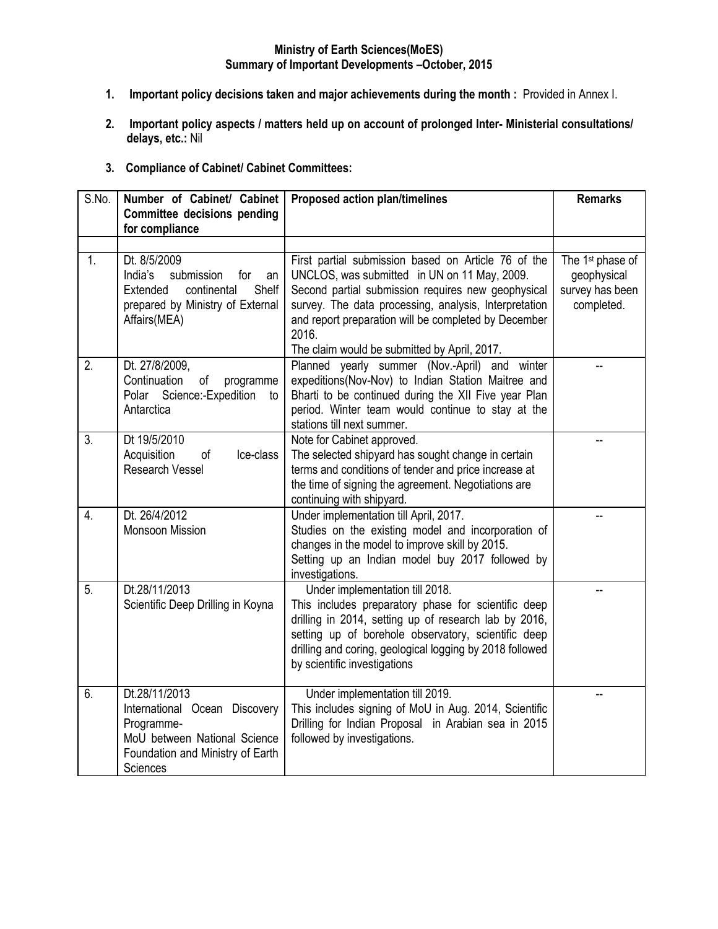#### **Ministry of Earth Sciences(MoES) Summary of Important Developments –October, 2015**

- **1. Important policy decisions taken and major achievements during the month :** Provided in Annex I.
- **2. Important policy aspects / matters held up on account of prolonged Inter- Ministerial consultations/ delays, etc.:** Nil
- **3. Compliance of Cabinet/ Cabinet Committees:**

| S.No.            | Number of Cabinet/ Cabinet<br><b>Committee decisions pending</b>                                                                             | <b>Proposed action plan/timelines</b>                                                                                                                                                                                                                                                                                               | <b>Remarks</b>                                                               |
|------------------|----------------------------------------------------------------------------------------------------------------------------------------------|-------------------------------------------------------------------------------------------------------------------------------------------------------------------------------------------------------------------------------------------------------------------------------------------------------------------------------------|------------------------------------------------------------------------------|
|                  | for compliance                                                                                                                               |                                                                                                                                                                                                                                                                                                                                     |                                                                              |
|                  |                                                                                                                                              |                                                                                                                                                                                                                                                                                                                                     |                                                                              |
| 1.               | Dt. 8/5/2009<br>India's<br>submission<br>for<br>an<br>Shelf<br>Extended<br>continental<br>prepared by Ministry of External<br>Affairs(MEA)   | First partial submission based on Article 76 of the<br>UNCLOS, was submitted in UN on 11 May, 2009.<br>Second partial submission requires new geophysical<br>survey. The data processing, analysis, Interpretation<br>and report preparation will be completed by December<br>2016.<br>The claim would be submitted by April, 2017. | The 1 <sup>st</sup> phase of<br>geophysical<br>survey has been<br>completed. |
| 2.               | Dt. 27/8/2009,<br>Continuation<br>of<br>programme<br>Polar Science:-Expedition<br>to<br>Antarctica                                           | Planned yearly summer (Nov.-April) and winter<br>expeditions(Nov-Nov) to Indian Station Maitree and<br>Bharti to be continued during the XII Five year Plan<br>period. Winter team would continue to stay at the<br>stations till next summer.                                                                                      |                                                                              |
| $\overline{3}$ . | Dt 19/5/2010<br>of<br>Acquisition<br>Ice-class<br>Research Vessel                                                                            | Note for Cabinet approved.<br>The selected shipyard has sought change in certain<br>terms and conditions of tender and price increase at<br>the time of signing the agreement. Negotiations are<br>continuing with shipyard.                                                                                                        |                                                                              |
| 4.               | Dt. 26/4/2012<br>Monsoon Mission                                                                                                             | Under implementation till April, 2017.<br>Studies on the existing model and incorporation of<br>changes in the model to improve skill by 2015.<br>Setting up an Indian model buy 2017 followed by<br>investigations.                                                                                                                |                                                                              |
| 5.               | Dt.28/11/2013<br>Scientific Deep Drilling in Koyna                                                                                           | Under implementation till 2018.<br>This includes preparatory phase for scientific deep<br>drilling in 2014, setting up of research lab by 2016,<br>setting up of borehole observatory, scientific deep<br>drilling and coring, geological logging by 2018 followed<br>by scientific investigations                                  |                                                                              |
| 6.               | Dt.28/11/2013<br>International Ocean Discovery<br>Programme-<br>MoU between National Science<br>Foundation and Ministry of Earth<br>Sciences | Under implementation till 2019.<br>This includes signing of MoU in Aug. 2014, Scientific<br>Drilling for Indian Proposal in Arabian sea in 2015<br>followed by investigations.                                                                                                                                                      |                                                                              |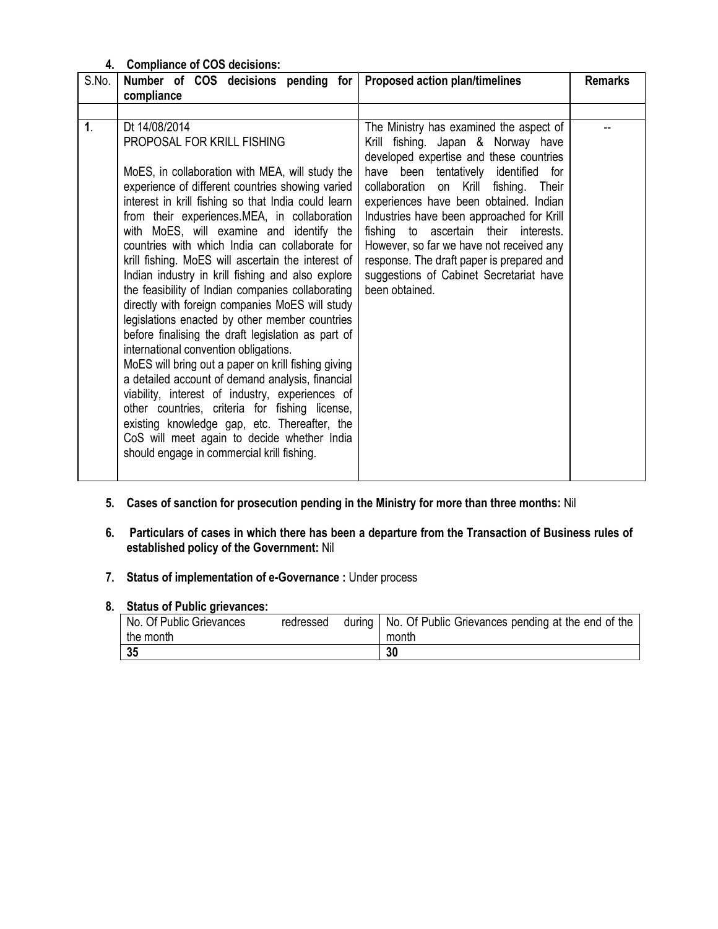## **4. Compliance of COS decisions:**

| S.No.<br>Number of COS decisions pending for<br>compliance                                                                                                                                                                                                                                                                                                                                                                                                                                                                                                                                                                                                                                                                                                                                                                                                                                                                                                                                                                                                                                                 | Proposed action plan/timelines                                                                                                                                                                                                                                                                                                                                                                                                                                                                     | <b>Remarks</b> |
|------------------------------------------------------------------------------------------------------------------------------------------------------------------------------------------------------------------------------------------------------------------------------------------------------------------------------------------------------------------------------------------------------------------------------------------------------------------------------------------------------------------------------------------------------------------------------------------------------------------------------------------------------------------------------------------------------------------------------------------------------------------------------------------------------------------------------------------------------------------------------------------------------------------------------------------------------------------------------------------------------------------------------------------------------------------------------------------------------------|----------------------------------------------------------------------------------------------------------------------------------------------------------------------------------------------------------------------------------------------------------------------------------------------------------------------------------------------------------------------------------------------------------------------------------------------------------------------------------------------------|----------------|
|                                                                                                                                                                                                                                                                                                                                                                                                                                                                                                                                                                                                                                                                                                                                                                                                                                                                                                                                                                                                                                                                                                            |                                                                                                                                                                                                                                                                                                                                                                                                                                                                                                    |                |
| $\mathbf{1}$ .<br>Dt 14/08/2014<br>PROPOSAL FOR KRILL FISHING<br>MoES, in collaboration with MEA, will study the<br>experience of different countries showing varied<br>interest in krill fishing so that India could learn<br>from their experiences.MEA, in collaboration<br>with MoES, will examine and identify the<br>countries with which India can collaborate for<br>krill fishing. MoES will ascertain the interest of<br>Indian industry in krill fishing and also explore<br>the feasibility of Indian companies collaborating<br>directly with foreign companies MoES will study<br>legislations enacted by other member countries<br>before finalising the draft legislation as part of<br>international convention obligations.<br>MoES will bring out a paper on krill fishing giving<br>a detailed account of demand analysis, financial<br>viability, interest of industry, experiences of<br>other countries, criteria for fishing license,<br>existing knowledge gap, etc. Thereafter, the<br>CoS will meet again to decide whether India<br>should engage in commercial krill fishing. | The Ministry has examined the aspect of<br>Krill fishing. Japan & Norway have<br>developed expertise and these countries<br>have been tentatively identified for<br>collaboration on Krill fishing.<br>Their<br>experiences have been obtained. Indian<br>Industries have been approached for Krill<br>fishing to ascertain their interests.<br>However, so far we have not received any<br>response. The draft paper is prepared and<br>suggestions of Cabinet Secretariat have<br>been obtained. |                |

- **5. Cases of sanction for prosecution pending in the Ministry for more than three months:** Nil
- **6. Particulars of cases in which there has been a departure from the Transaction of Business rules of established policy of the Government:** Nil
- **7. Status of implementation of e-Governance :** Under process

#### **8. Status of Public grievances:**

| No. Of Public Grievances | redressed | during   No. Of Public Grievances pending at the end of the |
|--------------------------|-----------|-------------------------------------------------------------|
| the month                |           | month                                                       |
| 35                       |           | 30                                                          |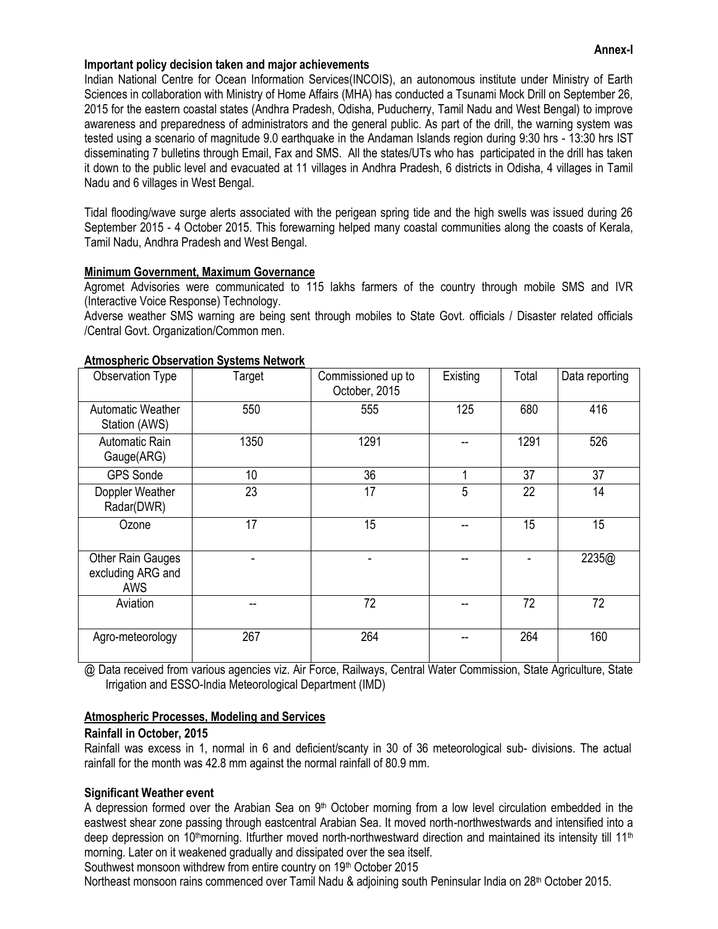#### **Annex-I**

#### **Important policy decision taken and major achievements**

Indian National Centre for Ocean Information Services(INCOIS), an autonomous institute under Ministry of Earth Sciences in collaboration with Ministry of Home Affairs (MHA) has conducted a Tsunami Mock Drill on September 26, 2015 for the eastern coastal states (Andhra Pradesh, Odisha, Puducherry, Tamil Nadu and West Bengal) to improve awareness and preparedness of administrators and the general public. As part of the drill, the warning system was tested using a scenario of magnitude 9.0 earthquake in the Andaman Islands region during 9:30 hrs - 13:30 hrs IST disseminating 7 bulletins through Email, Fax and SMS. All the states/UTs who has participated in the drill has taken it down to the public level and evacuated at 11 villages in Andhra Pradesh, 6 districts in Odisha, 4 villages in Tamil Nadu and 6 villages in West Bengal.

Tidal flooding/wave surge alerts associated with the perigean spring tide and the high swells was issued during 26 September 2015 - 4 October 2015. This forewarning helped many coastal communities along the coasts of Kerala, Tamil Nadu, Andhra Pradesh and West Bengal.

#### **Minimum Government, Maximum Governance**

Agromet Advisories were communicated to 115 lakhs farmers of the country through mobile SMS and IVR (Interactive Voice Response) Technology.

Adverse weather SMS warning are being sent through mobiles to State Govt. officials / Disaster related officials /Central Govt. Organization/Common men.

| Observation Type                                            | Target | Commissioned up to<br>October, 2015 | Existing | Total | Data reporting |
|-------------------------------------------------------------|--------|-------------------------------------|----------|-------|----------------|
| Automatic Weather<br>Station (AWS)                          | 550    | 555                                 | 125      | 680   | 416            |
| Automatic Rain<br>Gauge(ARG)                                | 1350   | 1291                                |          | 1291  | 526            |
| <b>GPS Sonde</b>                                            | 10     | 36                                  | 4        | 37    | 37             |
| Doppler Weather<br>Radar(DWR)                               | 23     | 17                                  | 5        | 22    | 14             |
| Ozone                                                       | 17     | 15                                  |          | 15    | 15             |
| <b>Other Rain Gauges</b><br>excluding ARG and<br><b>AWS</b> |        |                                     |          |       | 2235@          |
| Aviation                                                    |        | 72                                  |          | 72    | 72             |
| Agro-meteorology                                            | 267    | 264                                 |          | 264   | 160            |

## **Atmospheric Observation Systems Network**

@ Data received from various agencies viz. Air Force, Railways, Central Water Commission, State Agriculture, State Irrigation and ESSO-India Meteorological Department (IMD)

## **Atmospheric Processes, Modeling and Services**

## **Rainfall in October, 2015**

Rainfall was excess in 1, normal in 6 and deficient/scanty in 30 of 36 meteorological sub- divisions. The actual rainfall for the month was 42.8 mm against the normal rainfall of 80.9 mm.

#### **Significant Weather event**

A depression formed over the Arabian Sea on  $9<sup>th</sup>$  October morning from a low level circulation embedded in the eastwest shear zone passing through eastcentral Arabian Sea. It moved north-northwestwards and intensified into a deep depression on 10<sup>th</sup>morning. Itfurther moved north-northwestward direction and maintained its intensity till 11<sup>th</sup> morning. Later on it weakened gradually and dissipated over the sea itself.

Southwest monsoon withdrew from entire country on 19<sup>th</sup> October 2015

Northeast monsoon rains commenced over Tamil Nadu & adjoining south Peninsular India on 28<sup>th</sup> October 2015.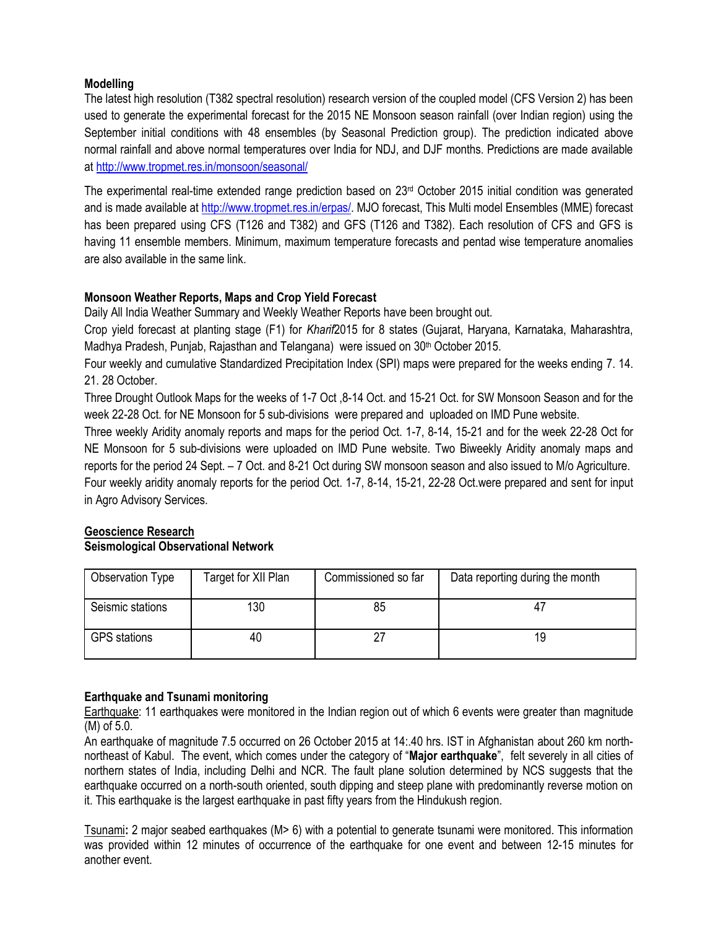## **Modelling**

The latest high resolution (T382 spectral resolution) research version of the coupled model (CFS Version 2) has been used to generate the experimental forecast for the 2015 NE Monsoon season rainfall (over Indian region) using the September initial conditions with 48 ensembles (by Seasonal Prediction group). The prediction indicated above normal rainfall and above normal temperatures over India for NDJ, and DJF months. Predictions are made available at<http://www.tropmet.res.in/monsoon/seasonal/>

The experimental real-time extended range prediction based on  $23<sup>rd</sup>$  October 2015 initial condition was generated and is made available at [http://www.tropmet.res.in/erpas/.](http://www.tropmet.res.in/erpas/) MJO forecast, This Multi model Ensembles (MME) forecast has been prepared using CFS (T126 and T382) and GFS (T126 and T382). Each resolution of CFS and GFS is having 11 ensemble members. Minimum, maximum temperature forecasts and pentad wise temperature anomalies are also available in the same link.

## **Monsoon Weather Reports, Maps and Crop Yield Forecast**

Daily All India Weather Summary and Weekly Weather Reports have been brought out.

Crop yield forecast at planting stage (F1) for *Kharif*2015 for 8 states (Gujarat, Haryana, Karnataka, Maharashtra, Madhya Pradesh, Punjab, Rajasthan and Telangana) were issued on 30<sup>th</sup> October 2015.

Four weekly and cumulative Standardized Precipitation Index (SPI) maps were prepared for the weeks ending 7. 14. 21. 28 October.

Three Drought Outlook Maps for the weeks of 1-7 Oct ,8-14 Oct. and 15-21 Oct. for SW Monsoon Season and for the week 22-28 Oct. for NE Monsoon for 5 sub-divisions were prepared and uploaded on IMD Pune website.

Three weekly Aridity anomaly reports and maps for the period Oct. 1-7, 8-14, 15-21 and for the week 22-28 Oct for NE Monsoon for 5 sub-divisions were uploaded on IMD Pune website. Two Biweekly Aridity anomaly maps and reports for the period 24 Sept. – 7 Oct. and 8-21 Oct during SW monsoon season and also issued to M/o Agriculture. Four weekly aridity anomaly reports for the period Oct. 1-7, 8-14, 15-21, 22-28 Oct.were prepared and sent for input in Agro Advisory Services.

#### **Geoscience Research Seismological Observational Network**

| Observation Type    | Target for XII Plan | Commissioned so far | Data reporting during the month |
|---------------------|---------------------|---------------------|---------------------------------|
| Seismic stations    | 130                 | 85                  |                                 |
| <b>GPS</b> stations | 40                  |                     | 19                              |

## **Earthquake and Tsunami monitoring**

Earthquake: 11 earthquakes were monitored in the Indian region out of which 6 events were greater than magnitude (M) of 5.0.

An earthquake of magnitude 7.5 occurred on 26 October 2015 at 14:.40 hrs. IST in Afghanistan about 260 km northnortheast of Kabul. The event, which comes under the category of "**Major earthquake**", felt severely in all cities of northern states of India, including Delhi and NCR. The fault plane solution determined by NCS suggests that the earthquake occurred on a north-south oriented, south dipping and steep plane with predominantly reverse motion on it. This earthquake is the largest earthquake in past fifty years from the Hindukush region.

Tsunami**:** 2 major seabed earthquakes (M> 6) with a potential to generate tsunami were monitored. This information was provided within 12 minutes of occurrence of the earthquake for one event and between 12-15 minutes for another event.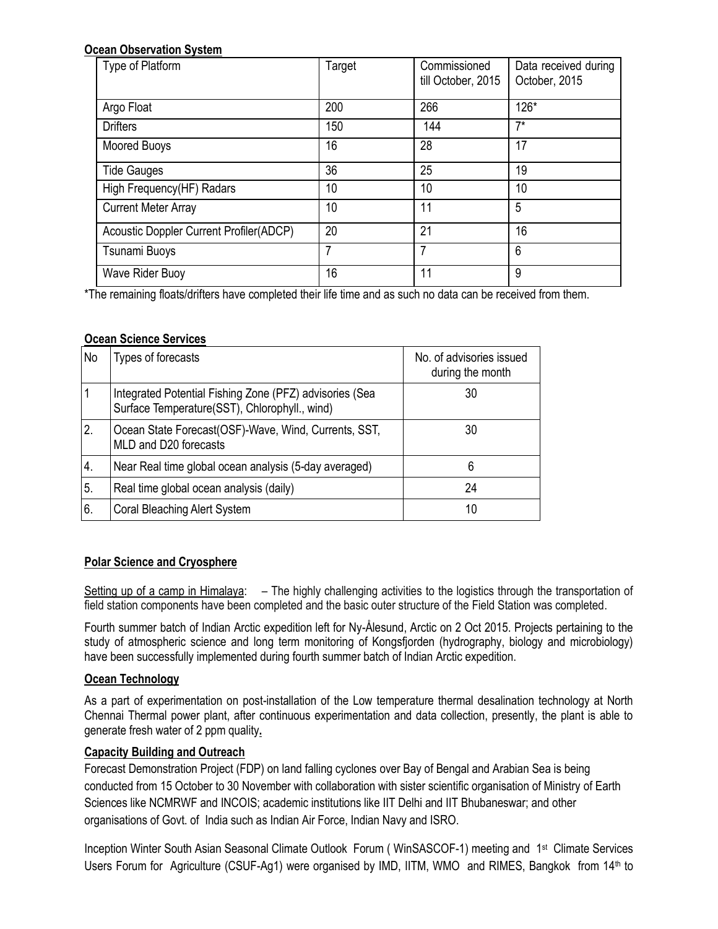## **Ocean Observation System**

| Type of Platform                        | Target | Commissioned<br>till October, 2015 | Data received during<br>October, 2015 |
|-----------------------------------------|--------|------------------------------------|---------------------------------------|
| Argo Float                              | 200    | 266                                | 126*                                  |
| <b>Drifters</b>                         | 150    | 144                                | $7^*$                                 |
| Moored Buoys                            | 16     | 28                                 | 17                                    |
| <b>Tide Gauges</b>                      | 36     | 25                                 | 19                                    |
| High Frequency(HF) Radars               | 10     | 10                                 | 10                                    |
| <b>Current Meter Array</b>              | 10     | 11                                 | 5                                     |
| Acoustic Doppler Current Profiler(ADCP) | 20     | 21                                 | 16                                    |
| Tsunami Buoys                           | 7      | 7                                  | 6                                     |
| Wave Rider Buoy                         | 16     | 11                                 | 9                                     |

\*The remaining floats/drifters have completed their life time and as such no data can be received from them.

## **Ocean Science Services**

| No | Types of forecasts                                                                                       | No. of advisories issued<br>during the month |
|----|----------------------------------------------------------------------------------------------------------|----------------------------------------------|
|    | Integrated Potential Fishing Zone (PFZ) advisories (Sea<br>Surface Temperature(SST), Chlorophyll., wind) | 30                                           |
| 2. | Ocean State Forecast (OSF)-Wave, Wind, Currents, SST,<br>MLD and D20 forecasts                           | 30                                           |
| 4. | Near Real time global ocean analysis (5-day averaged)                                                    | 6                                            |
| 5. | Real time global ocean analysis (daily)                                                                  | 24                                           |
| 6. | <b>Coral Bleaching Alert System</b>                                                                      | 10                                           |

## **Polar Science and Cryosphere**

Setting up of a camp in Himalaya: – The highly challenging activities to the logistics through the transportation of field station components have been completed and the basic outer structure of the Field Station was completed.

Fourth summer batch of Indian Arctic expedition left for Ny-Ålesund, Arctic on 2 Oct 2015. Projects pertaining to the study of atmospheric science and long term monitoring of Kongsfjorden (hydrography, biology and microbiology) have been successfully implemented during fourth summer batch of Indian Arctic expedition.

#### **Ocean Technology**

As a part of experimentation on post-installation of the Low temperature thermal desalination technology at North Chennai Thermal power plant, after continuous experimentation and data collection, presently, the plant is able to generate fresh water of 2 ppm quality**.**

## **Capacity Building and Outreach**

Forecast Demonstration Project (FDP) on land falling cyclones over Bay of Bengal and Arabian Sea is being conducted from 15 October to 30 November with collaboration with sister scientific organisation of Ministry of Earth Sciences like NCMRWF and INCOIS; academic institutions like IIT Delhi and IIT Bhubaneswar; and other organisations of Govt. of India such as Indian Air Force, Indian Navy and ISRO.

Inception Winter South Asian Seasonal Climate Outlook Forum (WinSASCOF-1) meeting and 1<sup>st</sup> Climate Services Users Forum for Agriculture (CSUF-Ag1) were organised by IMD, IITM, WMO and RIMES, Bangkok from 14<sup>th</sup> to